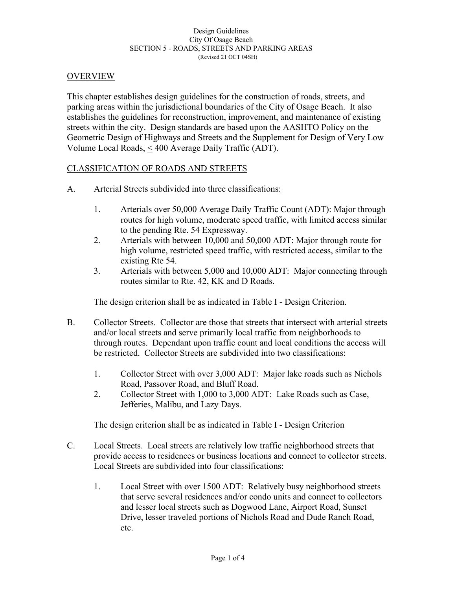#### Design Guidelines City Of Osage Beach SECTION 5 - ROADS, STREETS AND PARKING AREAS (Revised 21 OCT 04SH)

#### OVERVIEW

This chapter establishes design guidelines for the construction of roads, streets, and parking areas within the jurisdictional boundaries of the City of Osage Beach. It also establishes the guidelines for reconstruction, improvement, and maintenance of existing streets within the city. Design standards are based upon the AASHTO Policy on the Geometric Design of Highways and Streets and the Supplement for Design of Very Low Volume Local Roads, < 400 Average Daily Traffic (ADT).

### CLASSIFICATION OF ROADS AND STREETS

- A. Arterial Streets subdivided into three classifications:
	- 1. Arterials over 50,000 Average Daily Traffic Count (ADT): Major through routes for high volume, moderate speed traffic, with limited access similar to the pending Rte. 54 Expressway.
	- 2. Arterials with between 10,000 and 50,000 ADT: Major through route for high volume, restricted speed traffic, with restricted access, similar to the existing Rte 54.
	- 3. Arterials with between 5,000 and 10,000 ADT: Major connecting through routes similar to Rte. 42, KK and D Roads.

The design criterion shall be as indicated in Table I - Design Criterion.

- B. Collector Streets. Collector are those that streets that intersect with arterial streets and/or local streets and serve primarily local traffic from neighborhoods to through routes. Dependant upon traffic count and local conditions the access will be restricted. Collector Streets are subdivided into two classifications:
	- 1. Collector Street with over 3,000 ADT: Major lake roads such as Nichols Road, Passover Road, and Bluff Road.
	- 2. Collector Street with 1,000 to 3,000 ADT: Lake Roads such as Case, Jefferies, Malibu, and Lazy Days.

The design criterion shall be as indicated in Table I - Design Criterion

- C. Local Streets. Local streets are relatively low traffic neighborhood streets that provide access to residences or business locations and connect to collector streets. Local Streets are subdivided into four classifications:
	- 1. Local Street with over 1500 ADT: Relatively busy neighborhood streets that serve several residences and/or condo units and connect to collectors and lesser local streets such as Dogwood Lane, Airport Road, Sunset Drive, lesser traveled portions of Nichols Road and Dude Ranch Road, etc.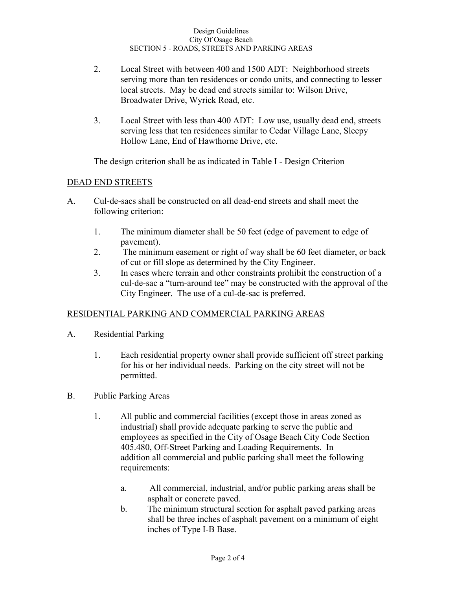- 2. Local Street with between 400 and 1500 ADT: Neighborhood streets serving more than ten residences or condo units, and connecting to lesser local streets. May be dead end streets similar to: Wilson Drive, Broadwater Drive, Wyrick Road, etc.
- 3. Local Street with less than 400 ADT: Low use, usually dead end, streets serving less that ten residences similar to Cedar Village Lane, Sleepy Hollow Lane, End of Hawthorne Drive, etc.

The design criterion shall be as indicated in Table I - Design Criterion

### DEAD END STREETS

- A. Cul-de-sacs shall be constructed on all dead-end streets and shall meet the following criterion:
	- 1. The minimum diameter shall be 50 feet (edge of pavement to edge of pavement).
	- 2. The minimum easement or right of way shall be 60 feet diameter, or back of cut or fill slope as determined by the City Engineer.
	- 3. In cases where terrain and other constraints prohibit the construction of a cul-de-sac a "turn-around tee" may be constructed with the approval of the City Engineer. The use of a cul-de-sac is preferred.

### RESIDENTIAL PARKING AND COMMERCIAL PARKING AREAS

- A. Residential Parking
	- 1. Each residential property owner shall provide sufficient off street parking for his or her individual needs. Parking on the city street will not be permitted.
- B. Public Parking Areas
	- 1. All public and commercial facilities (except those in areas zoned as industrial) shall provide adequate parking to serve the public and employees as specified in the City of Osage Beach City Code Section 405.480, Off-Street Parking and Loading Requirements. In addition all commercial and public parking shall meet the following requirements:
		- a. All commercial, industrial, and/or public parking areas shall be asphalt or concrete paved.
		- b. The minimum structural section for asphalt paved parking areas shall be three inches of asphalt pavement on a minimum of eight inches of Type I-B Base.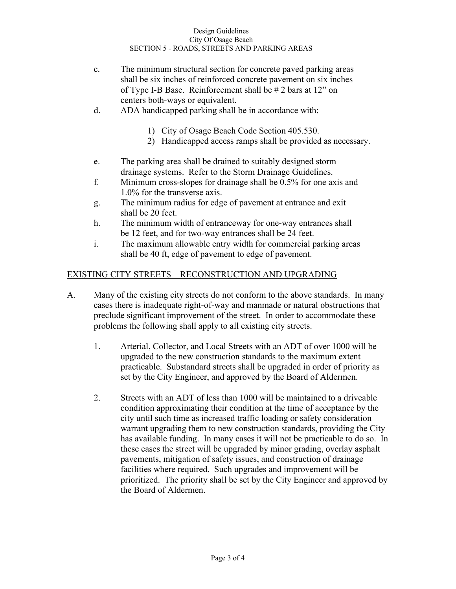#### Design Guidelines City Of Osage Beach SECTION 5 - ROADS, STREETS AND PARKING AREAS

- c. The minimum structural section for concrete paved parking areas shall be six inches of reinforced concrete pavement on six inches of Type I-B Base. Reinforcement shall be # 2 bars at 12" on centers both-ways or equivalent.
- d. ADA handicapped parking shall be in accordance with:
	- 1) City of Osage Beach Code Section 405.530.
	- 2) Handicapped access ramps shall be provided as necessary.
- e. The parking area shall be drained to suitably designed storm drainage systems. Refer to the Storm Drainage Guidelines.
- f. Minimum cross-slopes for drainage shall be 0.5% for one axis and 1.0% for the transverse axis.
- g. The minimum radius for edge of pavement at entrance and exit shall be 20 feet.
- h. The minimum width of entranceway for one-way entrances shall be 12 feet, and for two-way entrances shall be 24 feet.
- i. The maximum allowable entry width for commercial parking areas shall be 40 ft, edge of pavement to edge of pavement.

# EXISTING CITY STREETS – RECONSTRUCTION AND UPGRADING

- A. Many of the existing city streets do not conform to the above standards. In many cases there is inadequate right-of-way and manmade or natural obstructions that preclude significant improvement of the street. In order to accommodate these problems the following shall apply to all existing city streets.
	- 1. Arterial, Collector, and Local Streets with an ADT of over 1000 will be upgraded to the new construction standards to the maximum extent practicable. Substandard streets shall be upgraded in order of priority as set by the City Engineer, and approved by the Board of Aldermen.
	- 2. Streets with an ADT of less than 1000 will be maintained to a driveable condition approximating their condition at the time of acceptance by the city until such time as increased traffic loading or safety consideration warrant upgrading them to new construction standards, providing the City has available funding. In many cases it will not be practicable to do so. In these cases the street will be upgraded by minor grading, overlay asphalt pavements, mitigation of safety issues, and construction of drainage facilities where required. Such upgrades and improvement will be prioritized. The priority shall be set by the City Engineer and approved by the Board of Aldermen.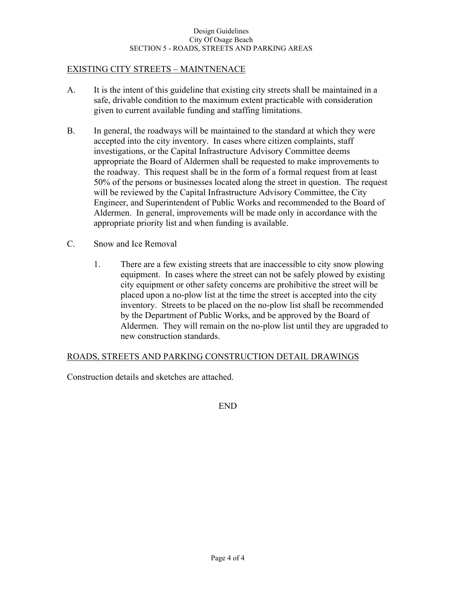## EXISTING CITY STREETS – MAINTNENACE

- A. It is the intent of this guideline that existing city streets shall be maintained in a safe, drivable condition to the maximum extent practicable with consideration given to current available funding and staffing limitations.
- B. In general, the roadways will be maintained to the standard at which they were accepted into the city inventory. In cases where citizen complaints, staff investigations, or the Capital Infrastructure Advisory Committee deems appropriate the Board of Aldermen shall be requested to make improvements to the roadway. This request shall be in the form of a formal request from at least 50% of the persons or businesses located along the street in question. The request will be reviewed by the Capital Infrastructure Advisory Committee, the City Engineer, and Superintendent of Public Works and recommended to the Board of Aldermen. In general, improvements will be made only in accordance with the appropriate priority list and when funding is available.
- C. Snow and Ice Removal
	- 1. There are a few existing streets that are inaccessible to city snow plowing equipment. In cases where the street can not be safely plowed by existing city equipment or other safety concerns are prohibitive the street will be placed upon a no-plow list at the time the street is accepted into the city inventory. Streets to be placed on the no-plow list shall be recommended by the Department of Public Works, and be approved by the Board of Aldermen. They will remain on the no-plow list until they are upgraded to new construction standards.

### ROADS, STREETS AND PARKING CONSTRUCTION DETAIL DRAWINGS

Construction details and sketches are attached.

END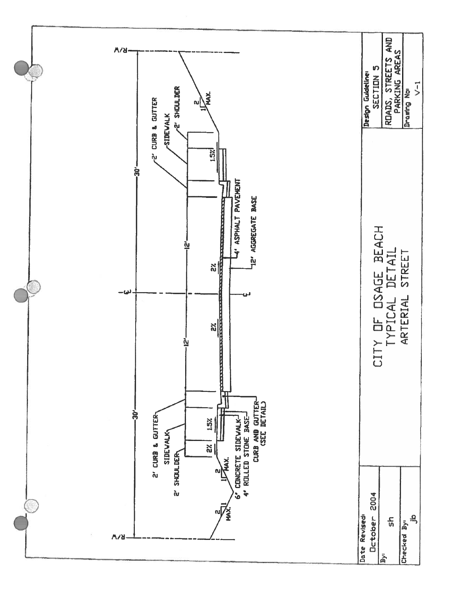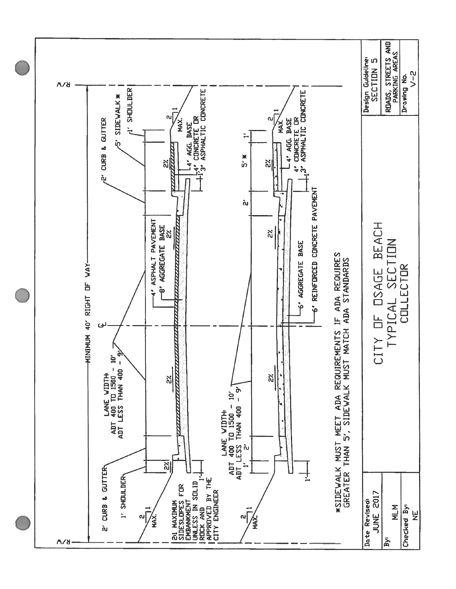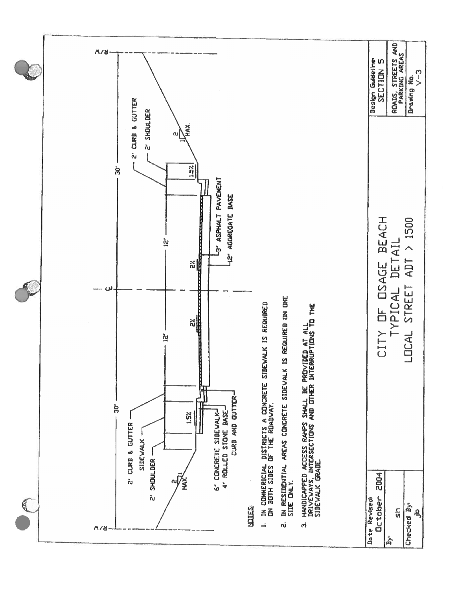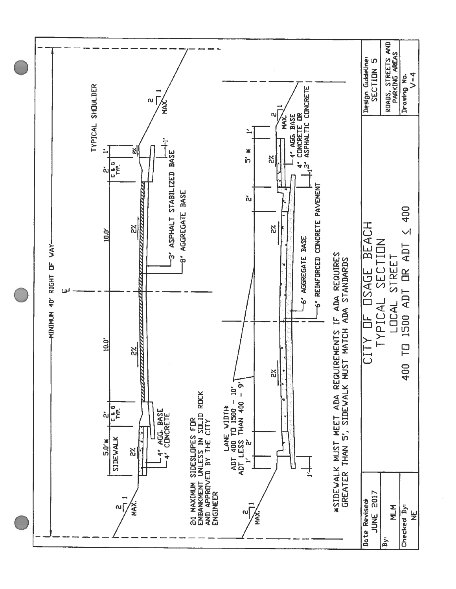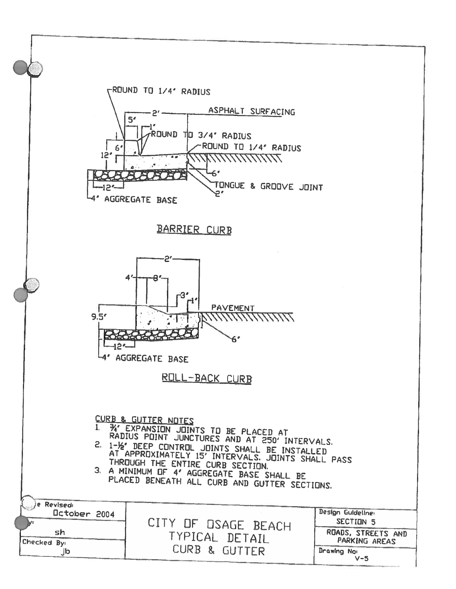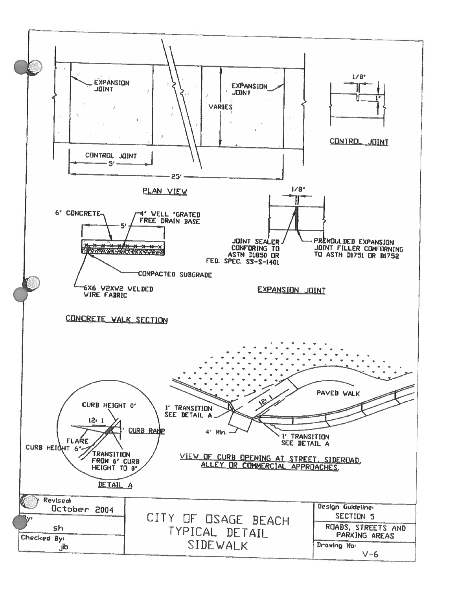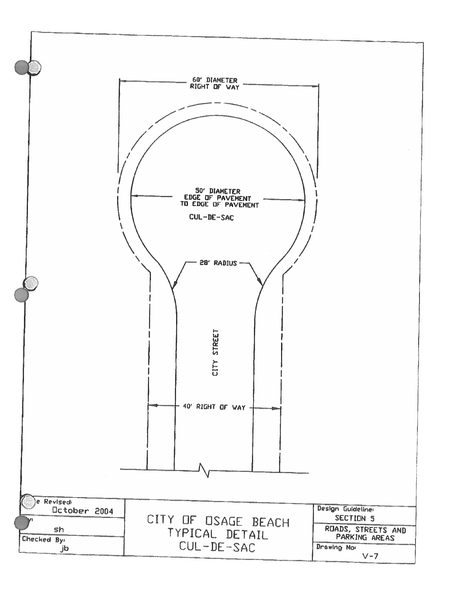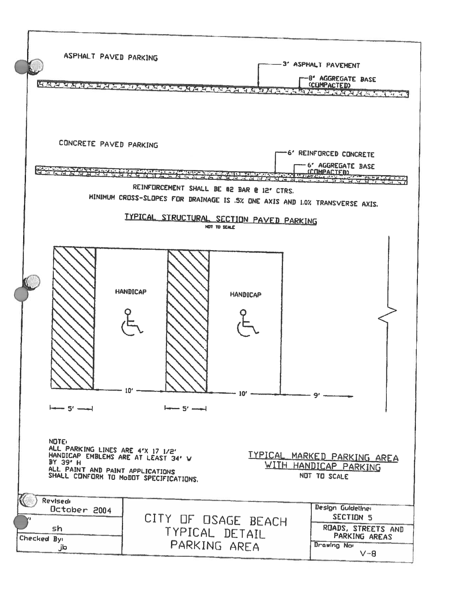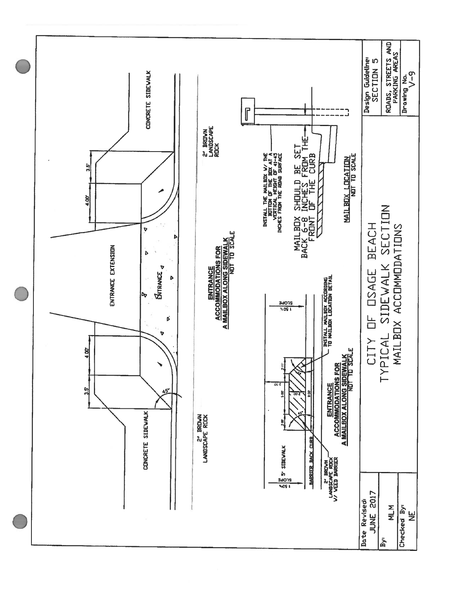